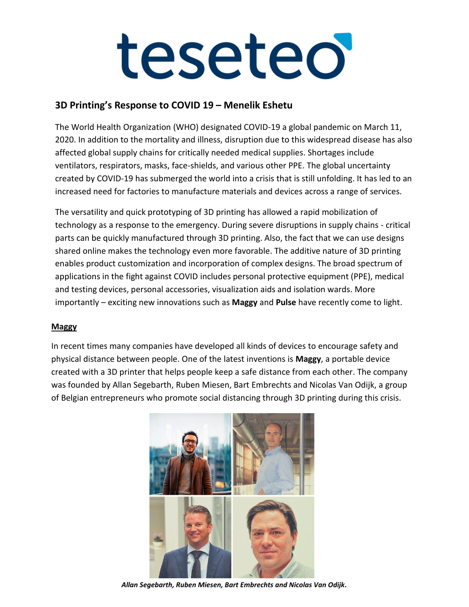### **3D Printing's Response to COVID 19 – Menelik Eshetu**

The World Health Organization (WHO) designated COVID-19 a global pandemic on March 11, 2020. In addition to the mortality and illness, disruption due to this widespread disease has also affected global supply chains for critically needed medical supplies. Shortages include ventilators, respirators, masks, face-shields, and various other PPE. The global uncertainty created by COVID-19 has submerged the world into a crisis that is still unfolding. It has led to an increased need for factories to manufacture materials and devices across a range of services.

The versatility and quick prototyping of 3D printing has allowed a rapid mobilization of technology as a response to the emergency. During severe disruptions in supply chains - critical parts can be quickly manufactured through 3D printing. Also, the fact that we can use designs shared online makes the technology even more favorable. The additive nature of 3D printing enables product customization and incorporation of complex designs. The broad spectrum of applications in the fight against COVID includes personal protective equipment (PPE), medical and testing devices, personal accessories, visualization aids and isolation wards. More importantly – exciting new innovations such as **Maggy** and **Pulse** have recently come to light.

### **Maggy**

In recent times many companies have developed all kinds of devices to encourage safety and physical distance between people. One of the latest inventions is **Maggy**, a portable device created with a 3D printer that helps people keep a safe distance from each other. The company was founded by Allan Segebarth, Ruben Miesen, Bart Embrechts and Nicolas Van Odijk, a group of Belgian entrepreneurs who promote social distancing through 3D printing during this crisis.



*Allan Segebarth, Ruben Miesen, Bart Embrechts and Nicolas Van Odijk.*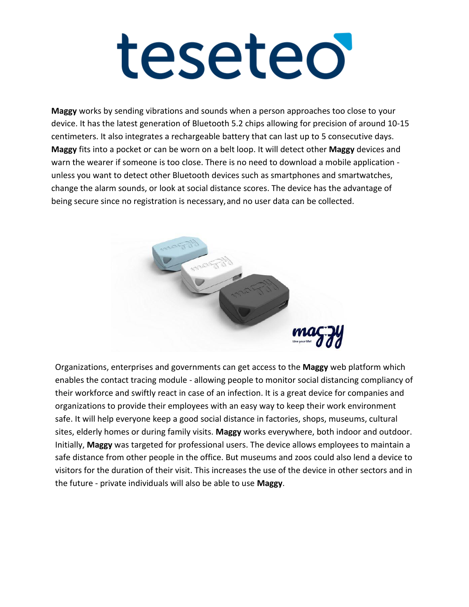**Maggy** works by sending vibrations and sounds when a person approaches too close to your device. It has the latest generation of Bluetooth 5.2 chips allowing for precision of around 10-15 centimeters. It also integrates a rechargeable battery that can last up to 5 consecutive days. **Maggy** fits into a pocket or can be worn on a belt loop. It will detect other **Maggy** devices and warn the wearer if someone is too close. There is no need to download a mobile application unless you want to detect other Bluetooth devices such as smartphones and smartwatches, change the alarm sounds, or look at social distance scores. The device has the advantage of being secure since no registration is necessary,and no user data can be collected.



Organizations, enterprises and governments can get access to the **Maggy** web platform which enables the contact tracing module - allowing people to monitor social distancing compliancy of their workforce and swiftly react in case of an infection. It is a great device for companies and organizations to provide their employees with an easy way to keep their work environment safe. It will help everyone keep a good social distance in factories, shops, museums, cultural sites, elderly homes or during family visits. **Maggy** works everywhere, both indoor and outdoor. Initially, **Maggy** was targeted for professional users. The device allows employees to maintain a safe distance from other people in the office. But museums and zoos could also lend a device to visitors for the duration of their visit. This increases the use of the device in other sectors and in the future - private individuals will also be able to use **Maggy**.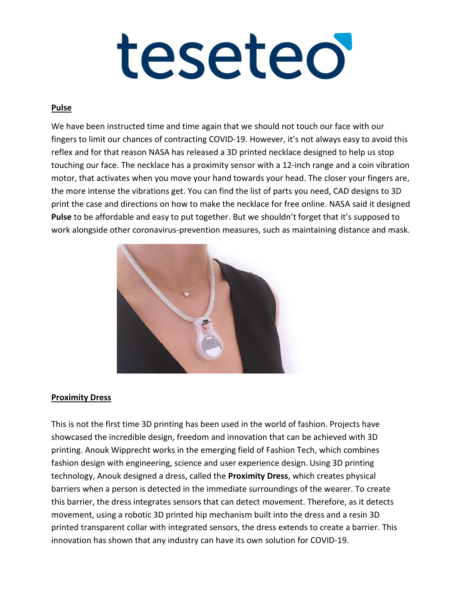### **Pulse**

We have been instructed time and time again that we should not touch our face with our fingers to limit our chances of contracting COVID-19. However, it's not always easy to avoid this reflex and for that reason NASA has released a 3D printed necklace designed to help us stop touching our face. The necklace has a proximity sensor with a 12-inch range and a coin vibration motor, that activates when you move your hand towards your head. The closer your fingers are, the more intense the vibrations get. You can find the list of parts you need, CAD designs to 3D print the case and directions on how to make the necklace for free online. NASA said it designed **Pulse** to be affordable and easy to put together. But we shouldn't forget that it's supposed to work alongside other coronavirus-prevention measures, such as maintaining distance and mask.



### **Proximity Dress**

This is not the first time 3D printing has been used in the world of fashion. Projects have showcased the incredible design, freedom and innovation that can be achieved with 3D printing. Anouk Wipprecht works in the emerging field of Fashion Tech, which combines fashion design with engineering, science and user experience design. Using 3D printing technology, Anouk designed a dress, called the **Proximity Dress**, which creates physical barriers when a person is detected in the immediate surroundings of the wearer. To create this barrier, the dress integrates sensors that can detect movement. Therefore, as it detects movement, using a robotic 3D printed hip mechanism built into the dress and a resin 3D printed transparent collar with integrated sensors, the dress extends to create a barrier. This innovation has shown that any industry can have its own solution for COVID-19.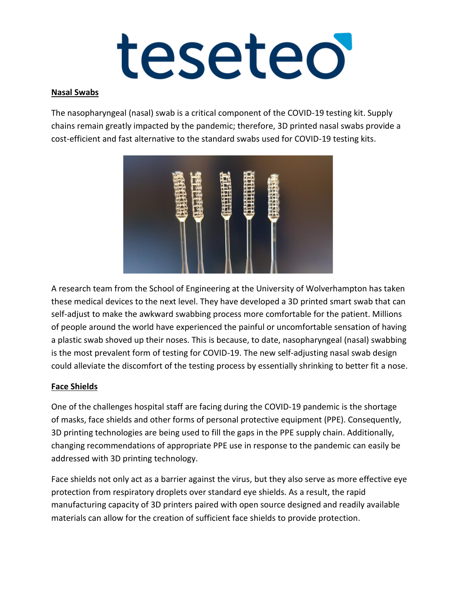### **Nasal Swabs**

The nasopharyngeal (nasal) swab is a critical component of the COVID-19 testing kit. Supply chains remain greatly impacted by the pandemic; therefore, 3D printed nasal swabs provide a cost-efficient and fast alternative to the standard swabs used for COVID-19 testing kits.



A research team from the School of Engineering at the University of Wolverhampton has taken these medical devices to the next level. They have developed a 3D printed smart swab that can self-adjust to make the awkward swabbing process more comfortable for the patient. Millions of people around the world have experienced the painful or uncomfortable sensation of having a plastic swab shoved up their noses. This is because, to date, nasopharyngeal (nasal) swabbing is the most prevalent form of testing for COVID-19. The new self-adjusting nasal swab design could alleviate the discomfort of the testing process by essentially shrinking to better fit a nose.

### **Face Shields**

One of the challenges hospital staff are facing during the COVID-19 pandemic is the shortage of masks, face shields and other forms of personal protective equipment (PPE). Consequently, 3D printing technologies are being used to fill the gaps in the PPE supply chain. Additionally, changing recommendations of appropriate PPE use in response to the pandemic can easily be addressed with 3D printing technology.

Face shields not only act as a barrier against the virus, but they also serve as more effective eye protection from respiratory droplets over standard eye shields. As a result, the rapid manufacturing capacity of 3D printers paired with open source designed and readily available materials can allow for the creation of sufficient face shields to provide protection.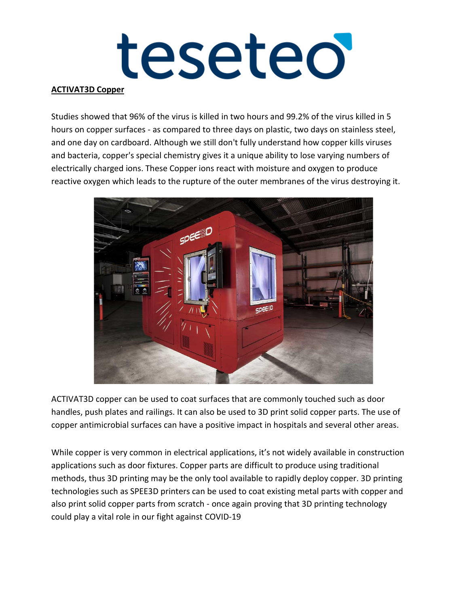### **ACTIVAT3D Copper**

Studies showed that 96% of the virus is killed in two hours and 99.2% of the virus killed in 5 hours on copper surfaces - as compared to three days on plastic, two days on stainless steel, and one day on cardboard. Although we still don't fully understand how copper kills viruses and bacteria, copper's special chemistry gives it a unique ability to lose varying numbers of electrically charged ions. These Copper ions react with moisture and oxygen to produce reactive oxygen which leads to the rupture of the outer membranes of the virus destroying it.



ACTIVAT3D copper can be used to coat surfaces that are commonly touched such as door handles, push plates and railings. It can also be used to 3D print solid copper parts. The use of copper antimicrobial surfaces can have a positive impact in hospitals and several other areas.

While copper is very common in electrical applications, it's not widely available in construction applications such as door fixtures. Copper parts are difficult to produce using traditional methods, thus 3D printing may be the only tool available to rapidly deploy copper. 3D printing technologies such as SPEE3D printers can be used to coat existing metal parts with copper and also print solid copper parts from scratch - once again proving that 3D printing technology could play a vital role in our fight against COVID-19